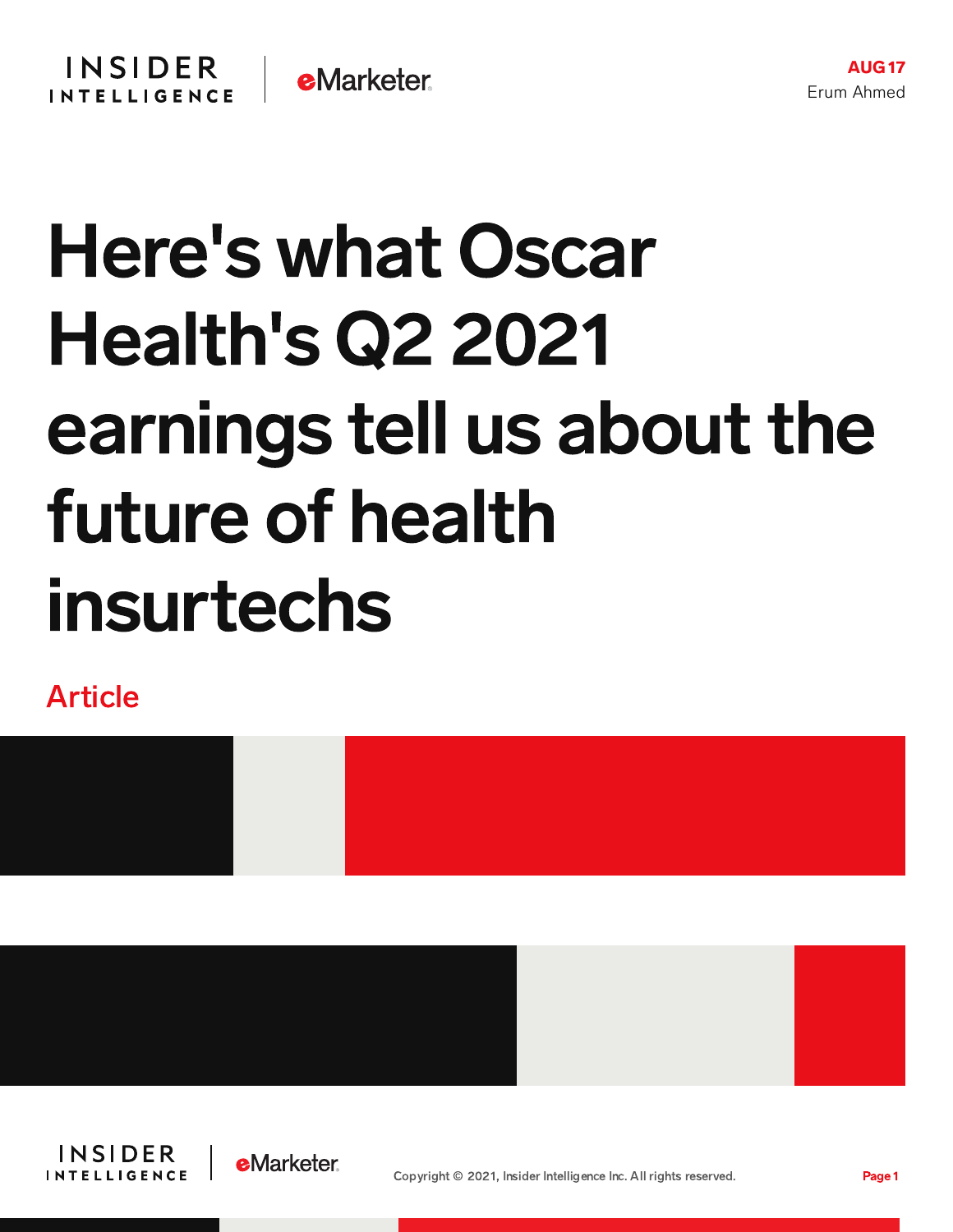## Here's what Oscar Health's Q2 2021 earnings tell us about the future of health insurtechs

Article









AUG17

Erum Ahmed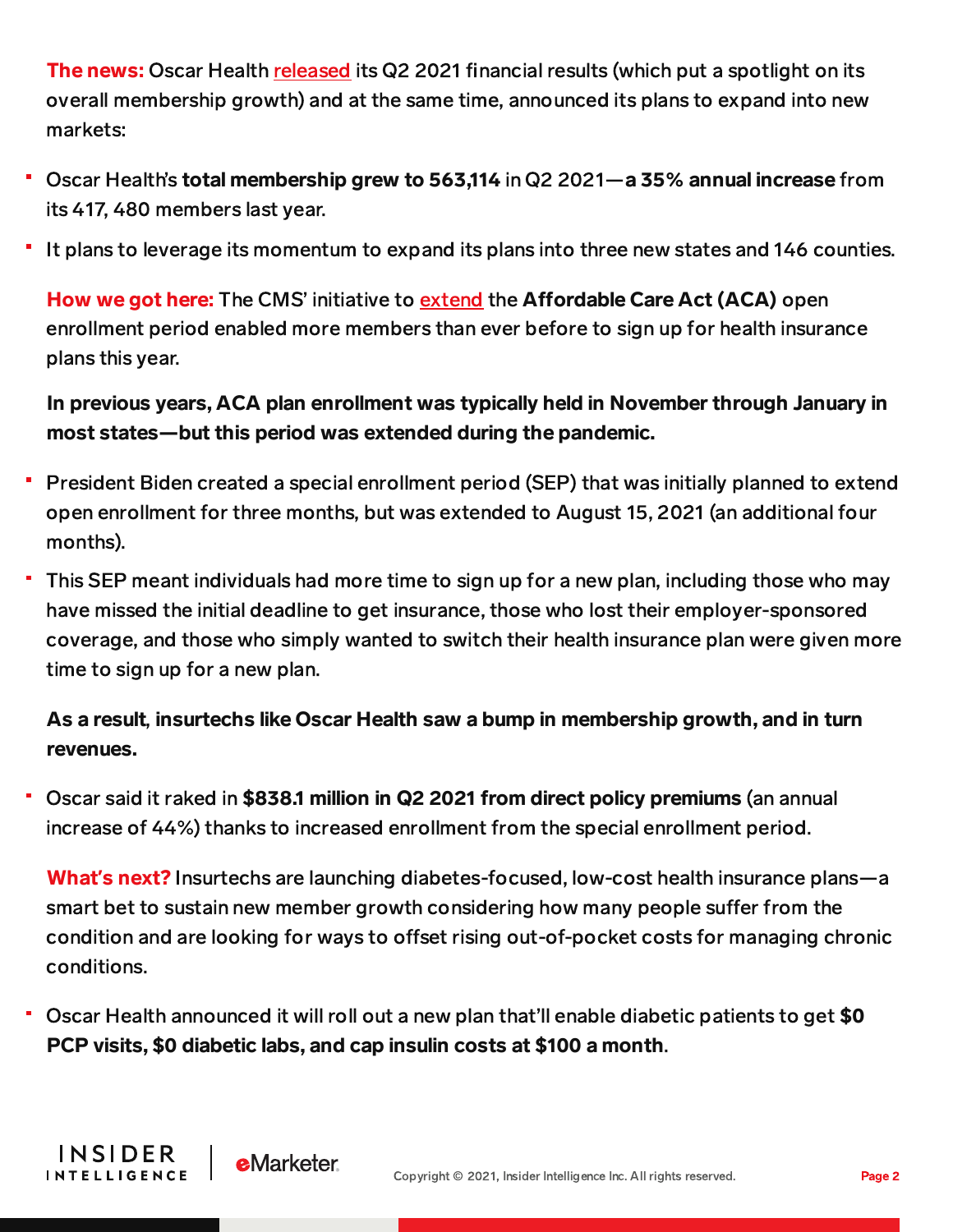The news: Oscar Health [released](https://www.businesswire.com/news/home/20210812005864/en/Oscar-Health-Announces-Results-for-Second-Quarter-2021) its Q2 2021 financial results (which put a spotlight on its overall membership growth) and at the same time, announced its plans to expand into new markets:

- Oscar Health's total membership grew to 563,114 in Q2 2021—a 35% annual increase from its 417, 480 members last year.
- It plans to leverage its momentum to expand its plans into three new states and 146 counties.

How we got here: The CMS' initiative to [extend](https://content-na1.emarketer.com/here-s-why-1-9-trillion-coronavirus-stimulus-plan-good-news-health-insurtechs) the Affordable Care Act (ACA) open enrollment period enabled more members than ever before to sign up for health insurance plans this year.

## In previous years, ACA plan enrollment was typically held in November through January in most states—but this period was extended during the pandemic.

- President Biden created a special enrollment period (SEP) that was initially planned to extend open enrollment for three months, but was extended to August 15, 2021 (an additional four months).
- This SEP meant individuals had more time to sign up for a new plan, including those who may have missed the initial deadline to get insurance, those who lost their employer-sponsored coverage, and those who simply wanted to switch their health insurance plan were given more time to sign up for a new plan.

## As a result, insurtechs like Oscar Health saw a bump in membership growth, and in turn revenues.

Oscar said it raked in \$838.1 million in Q2 2021 from direct policy premiums (an annual increase of 44%) thanks to increased enrollment from the special enrollment period.

What**'**s next? Insurtechs are launching diabetes-focused, low-cost health insurance plans—a smart bet to sustain new member growth considering how many people suffer from the condition and are looking for ways to offset rising out-of-pocket costs for managing chronic conditions.

Oscar Health announced it will roll out a new plan that'll enable diabetic patients to get \$0 PCP visits, \$0 diabetic labs, and cap insulin costs at \$100 a month.

**INSIDER** 

**INTELLIGENCE** 

**e**Marketer